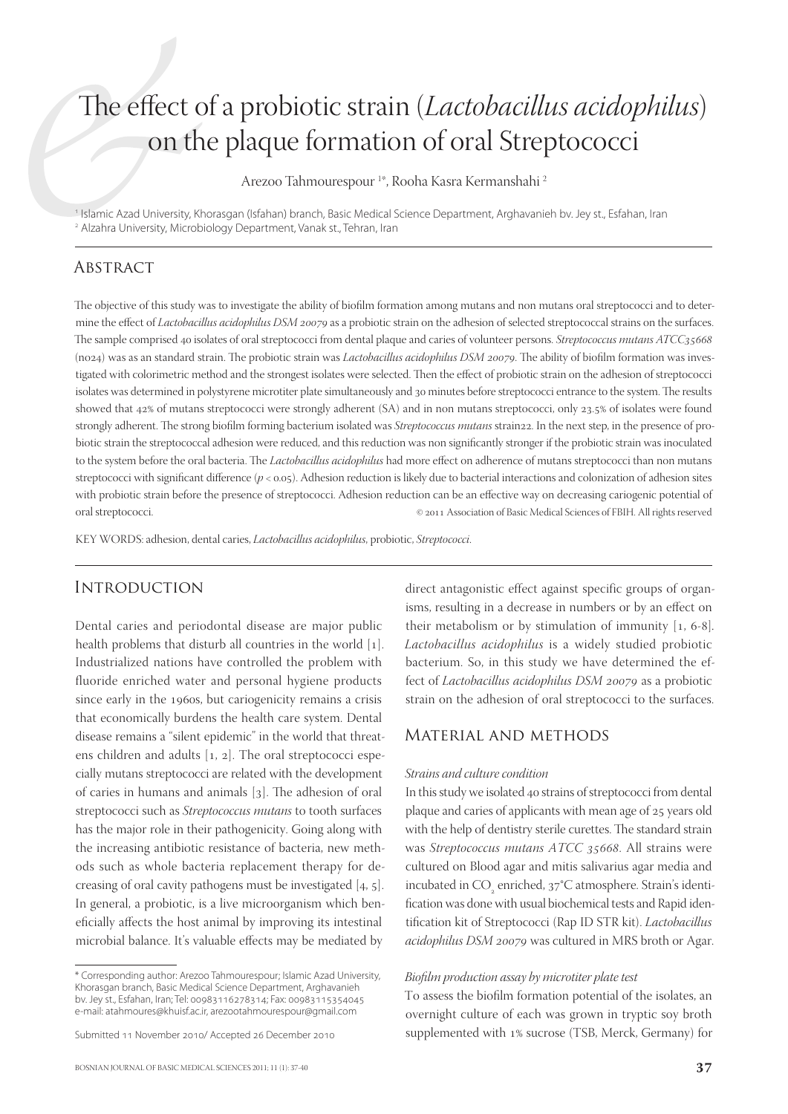# The effect of a probiotic strain (*Lactobacillus acidophilus*) on the plaque formation of oral Streptococci

Arezoo Tahmourespour 1 \*, Rooha Kasra Kermanshahi 2

1 Islamic Azad University, Khorasgan (Isfahan) branch, Basic Medical Science Department, Arghavanieh bv. Jey st., Esfahan, Iran 2 Alzahra University, Microbiology Department, Vanak st., Tehran, Iran

### **ABSTRACT**

The objective of this study was to investigate the ability of biofilm formation among mutans and non mutans oral streptococci and to determine the effect of *Lactobacillus acidophilus DSM 20079* as a probiotic strain on the adhesion of selected streptococcal strains on the surfaces. The sample comprised 40 isolates of oral streptococci from dental plaque and caries of volunteer persons. *Streptococcus mutans ATCC*35668 (no24) was as an standard strain. The probiotic strain was *Lactobacillus acidophilus DSM 20079*. The ability of biofilm formation was investigated with colorimetric method and the strongest isolates were selected. Then the effect of probiotic strain on the adhesion of streptococci isolates was determined in polystyrene microtiter plate simultaneously and 30 minutes before streptococci entrance to the system. The results showed that 42% of mutans streptococci were strongly adherent (SA) and in non mutans streptococci, only 23.5% of isolates were found strongly adherent. The strong biofilm forming bacterium isolated was *Streptococcus mutans* strain22. In the next step, in the presence of probiotic strain the streptococcal adhesion were reduced, and this reduction was non significantly stronger if the probiotic strain was inoculated to the system before the oral bacteria. The *Lactobacillus acidophilus* had more effect on adherence of mutans streptococci than non mutans streptococci with significant difference (*p* < 0.05). Adhesion reduction is likely due to bacterial interactions and colonization of adhesion sites with probiotic strain before the presence of streptococci. Adhesion reduction can be an effective way on decreasing cariogenic potential of oral streptococci.  $\circ$  2011 Association of Basic Medical Sciences of FBIH. All rights reserved

KEY WORDS: adhesion, dental caries, *Lactobacillus acidophilus*, probiotic, *Streptococci*.

## **INTRODUCTION**

Dental caries and periodontal disease are major public health problems that disturb all countries in the world  $[1]$ . Industrialized nations have controlled the problem with fluoride enriched water and personal hygiene products since early in the 1960s, but cariogenicity remains a crisis that economically burdens the health care system. Dental disease remains a "silent epidemic" in the world that threatens children and adults  $[1, 2]$ . The oral streptococci especially mutans streptococci are related with the development of caries in humans and animals  $[3]$ . The adhesion of oral streptococci such as *Streptococcus mutans* to tooth surfaces has the major role in their pathogenicity. Going along with the increasing antibiotic resistance of bacteria, new methods such as whole bacteria replacement therapy for decreasing of oral cavity pathogens must be investigated  $[4, 5]$ . In general, a probiotic, is a live microorganism which beneficially affects the host animal by improving its intestinal microbial balance. It's valuable effects may be mediated by direct antagonistic effect against specific groups of organisms, resulting in a decrease in numbers or by an effect on their metabolism or by stimulation of immunity  $[1, 6-8]$ . *Lactobacillus acidophilus* is a widely studied probiotic bacterium. So, in this study we have determined the effect of *Lactobacillus acidophilus DSM 20079* as a probiotic strain on the adhesion of oral streptococci to the surfaces.

### Material and methods

### *Strains and culture condition*

In this study we isolated 40 strains of streptococci from dental plaque and caries of applicants with mean age of 25 years old with the help of dentistry sterile curettes. The standard strain was *Streptococcus mutans ATCC* 35668. All strains were cultured on Blood agar and mitis salivarius agar media and incubated in CO<sub>2</sub> enriched, 37°C atmosphere. Strain's identification was done with usual biochemical tests and Rapid identifi cation kit of Streptococci (Rap ID STR kit). *Lactobacillus acidophilus DSM 20079* was cultured in MRS broth or Agar.

### *Biofi lm production assay by microtiter plate test*

To assess the biofilm formation potential of the isolates, an overnight culture of each was grown in tryptic soy broth supplemented with 1% sucrose (TSB, Merck, Germany) for

<sup>\*</sup> Corresponding author: Arezoo Tahmourespour; Islamic Azad University, Khorasgan branch, Basic Medical Science Department, Arghavanieh bv. Jey st., Esfahan, Iran; Tel: 00983116278314; Fax: 00983115354045 e-mail: atahmoures@khuisf.ac.ir, arezootahmourespour@gmail.com

Submitted 11 November 2010/ Accepted 26 December 2010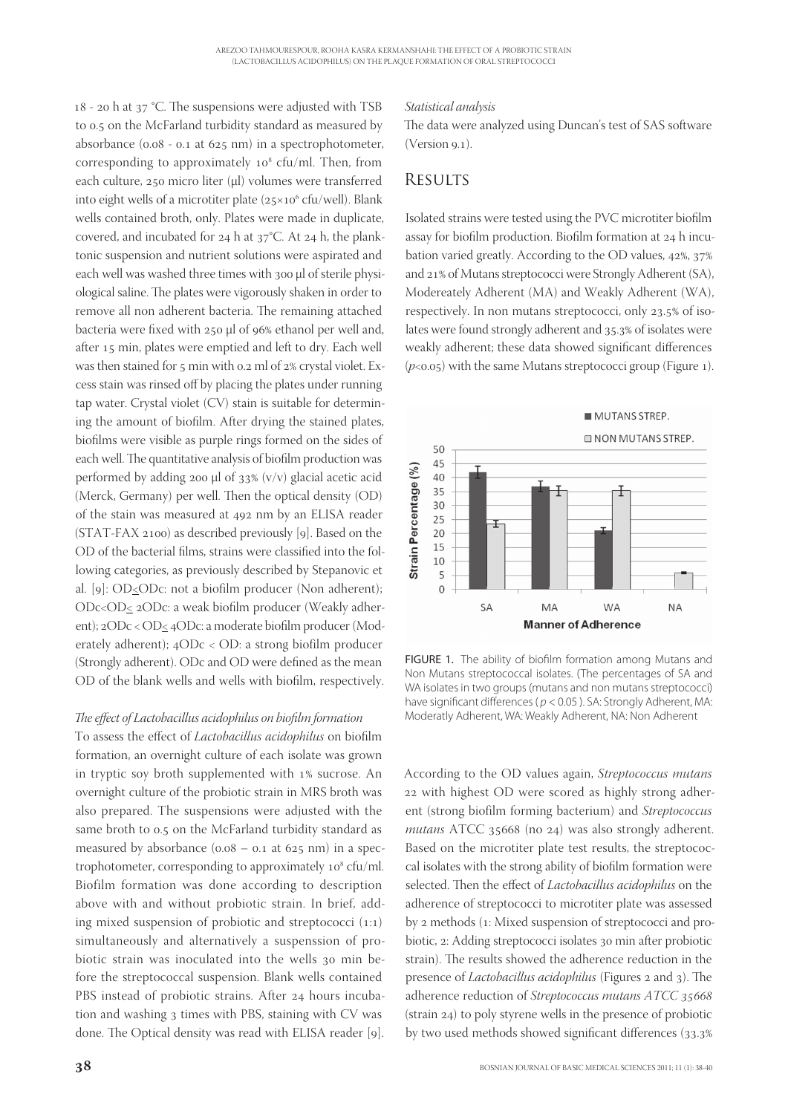$18 - 20$  h at  $37$  °C. The suspensions were adjusted with TSB to 0.5 on the McFarland turbidity standard as measured by absorbance  $(0.08 - 0.1$  at  $625$  nm) in a spectrophotometer, corresponding to approximately  $10^8$  cfu/ml. Then, from each culture,  $250$  micro liter (μl) volumes were transferred into eight wells of a microtiter plate  $(25\times10^6 \text{ cfu/well})$ . Blank wells contained broth, only. Plates were made in duplicate, covered, and incubated for  $24$  h at  $37^{\circ}$ C. At  $24$  h, the planktonic suspension and nutrient solutions were aspirated and each well was washed three times with 300 µl of sterile physiological saline. The plates were vigorously shaken in order to remove all non adherent bacteria. The remaining attached bacteria were fixed with  $250 \mu$  of  $96\%$  ethanol per well and, after 15 min, plates were emptied and left to dry. Each well was then stained for  $5$  min with 0.2 ml of  $2\%$  crystal violet. Excess stain was rinsed off by placing the plates under running tap water. Crystal violet (CV) stain is suitable for determining the amount of biofilm. After drying the stained plates, biofilms were visible as purple rings formed on the sides of each well. The quantitative analysis of biofilm production was performed by adding 200  $\mu$ l of 33% (v/v) glacial acetic acid (Merck, Germany) per well. Then the optical density (OD) of the stain was measured at 492 nm by an ELISA reader  $(STAT-FAX 2100)$  as described previously [9]. Based on the OD of the bacterial films, strains were classified into the following categories, as previously described by Stepanovic et al. [9]:  $OD \leq ODC$ : not a biofilm producer (Non adherent); ODc<OD< 2ODc: a weak biofilm producer (Weakly adherent); 2ODc < OD< 4ODc: a moderate biofilm producer (Moderately adherent);  $4$ ODc < OD: a strong biofilm producer (Strongly adherent). ODc and OD were defined as the mean OD of the blank wells and wells with biofilm, respectively.

### The effect of Lactobacillus acidophilus on biofilm formation

To assess the effect of *Lactobacillus acidophilus* on biofilm formation, an overnight culture of each isolate was grown in tryptic soy broth supplemented with 1% sucrose. An overnight culture of the probiotic strain in MRS broth was also prepared. The suspensions were adjusted with the same broth to 0.5 on the McFarland turbidity standard as measured by absorbance  $(0.08 - 0.1$  at  $625$  nm) in a spectrophotometer, corresponding to approximately  $10^8$  cfu/ml. Biofilm formation was done according to description above with and without probiotic strain. In brief, adding mixed suspension of probiotic and streptococci  $(1:1)$ simultaneously and alternatively a suspenssion of probiotic strain was inoculated into the wells 30 min before the streptococcal suspension. Blank wells contained PBS instead of probiotic strains. After 24 hours incubation and washing 3 times with PBS, staining with CV was done. The Optical density was read with ELISA reader [9].

### *Statistical analysis*

The data were analyzed using Duncan's test of SAS software  $(Version 9.1)$ .

# **RESULTS**

Isolated strains were tested using the PVC microtiter biofilm assay for biofilm production. Biofilm formation at 24 h incubation varied greatly. According to the OD values,  $42\%$ ,  $37\%$ and 21% of Mutans streptococci were Strongly Adherent (SA), Modereately Adherent (MA) and Weakly Adherent (WA), respectively. In non mutans streptococci, only 23.5% of isolates were found strongly adherent and 35.3% of isolates were weakly adherent; these data showed significant differences ( $p$ <0.05) with the same Mutans streptococci group (Figure 1).



FIGURE 1. The ability of biofilm formation among Mutans and Non Mutans streptococcal isolates. (The percentages of SA and WA isolates in two groups (mutans and non mutans streptococci) have significant differences ( $p < 0.05$ ). SA: Strongly Adherent, MA: Moderatly Adherent, WA: Weakly Adherent, NA: Non Adherent

According to the OD values again, *Streptococcus mutans* 22 with highest OD were scored as highly strong adherent (strong biofilm forming bacterium) and *Streptococcus mutans* ATCC 35668 (no 24) was also strongly adherent. Based on the microtiter plate test results, the streptococcal isolates with the strong ability of biofilm formation were selected. Then the effect of *Lactobacillus acidophilus* on the adherence of streptococci to microtiter plate was assessed by 2 methods (1: Mixed suspension of streptococci and probiotic, 2: Adding streptococci isolates 30 min after probiotic strain). The results showed the adherence reduction in the presence of *Lactobacillus acidophilus* (Figures 2 and 3). The adherence reduction of *Streptococcus mutans ATCC*  (strain  $24$ ) to poly styrene wells in the presence of probiotic by two used methods showed significant differences (33.3%)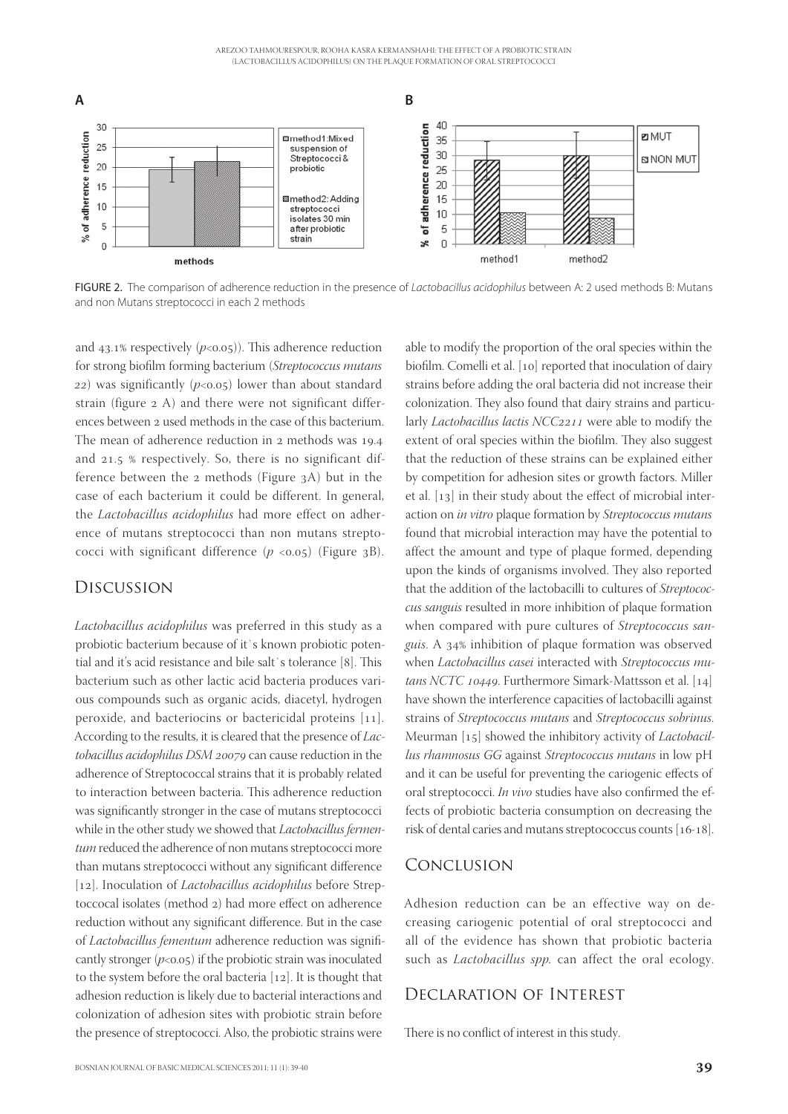

FIGURE 2. The comparison of adherence reduction in the presence of Lactobacillus acidophilus between A: 2 used methods B: Mutans and non Mutans streptococci in each 2 methods

and  $43.1\%$  respectively ( $p<0.05$ )). This adherence reduction for strong biofilm forming bacterium (*Streptococcus mutans*  $(22)$  was significantly ( $p<0.05$ ) lower than about standard strain (figure 2 A) and there were not significant differences between 2 used methods in the case of this bacterium. The mean of adherence reduction in 2 methods was 19.4 and  $21.5$  % respectively. So, there is no significant difference between the  $2$  methods (Figure  $3A$ ) but in the case of each bacterium it could be different. In general, the *Lactobacillus acidophilus* had more effect on adherence of mutans streptococci than non mutans streptococci with significant difference  $(p \lt 0.05)$  (Figure 3B).

### Discussion

*Lactobacillus acidophilus* was preferred in this study as a probiotic bacterium because of it`s known probiotic potential and it's acid resistance and bile salt's tolerance [8]. This bacterium such as other lactic acid bacteria produces various compounds such as organic acids, diacetyl, hydrogen peroxide, and bacteriocins or bactericidal proteins  $[11]$ . According to the results, it is cleared that the presence of *Lactobacillus acidophilus DSM 20079* can cause reduction in the adherence of Streptococcal strains that it is probably related to interaction between bacteria. This adherence reduction was significantly stronger in the case of mutans streptococci while in the other study we showed that *Lactobacillus fermentum* reduced the adherence of non mutans streptococci more than mutans streptococci without any significant difference [12]. Inoculation of *Lactobacillus acidophilus* before Streptoccocal isolates (method 2) had more effect on adherence reduction without any significant difference. But in the case of *Lactobacillus fementum* adherence reduction was significantly stronger  $(p<0.05)$  if the probiotic strain was inoculated to the system before the oral bacteria  $[12]$ . It is thought that adhesion reduction is likely due to bacterial interactions and colonization of adhesion sites with probiotic strain before the presence of streptococci. Also, the probiotic strains were

able to modify the proportion of the oral species within the biofilm. Comelli et al. [10] reported that inoculation of dairy strains before adding the oral bacteria did not increase their colonization. They also found that dairy strains and particularly *Lactobacillus lactis NCC*2211 were able to modify the extent of oral species within the biofilm. They also suggest that the reduction of these strains can be explained either by competition for adhesion sites or growth factors. Miller et al.  $[13]$  in their study about the effect of microbial interaction on *in vitro* plaque formation by *Streptococcus mutans* found that microbial interaction may have the potential to affect the amount and type of plaque formed, depending upon the kinds of organisms involved. They also reported that the addition of the lactobacilli to cultures of *Streptococcus sanguis* resulted in more inhibition of plaque formation when compared with pure cultures of *Streptococcus san*guis. A 34% inhibition of plaque formation was observed when *Lactobacillus casei* interacted with *Streptococcus mutans NCTC 10449*. Furthermore Simark-Mattsson et al. [14] have shown the interference capacities of lactobacilli against strains of *Streptococcus mutans* and *Streptococcus sobrinus*. Meurman [15] showed the inhibitory activity of *Lactobacillus rhamnosus GG* against *Streptococcus mutans* in low pH and it can be useful for preventing the cariogenic effects of oral streptococci. *In vivo* studies have also confirmed the effects of probiotic bacteria consumption on decreasing the risk of dental caries and mutans streptococcus counts  $[16-18]$ .

# Conclusion

Adhesion reduction can be an effective way on decreasing cariogenic potential of oral streptococci and all of the evidence has shown that probiotic bacteria such as *Lactobacillus spp.* can affect the oral ecology.

# Declaration of Interest

There is no conflict of interest in this study.